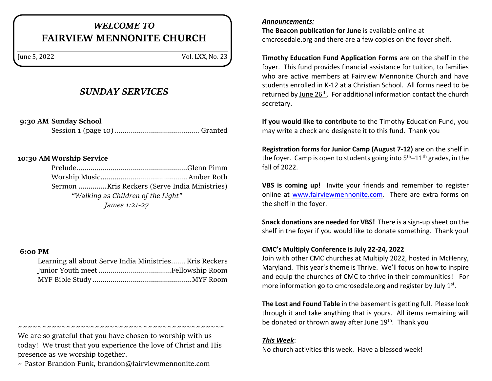# *WELCOME TO* **FAIRVIEW MENNONITE CHURCH**

June 5, 2022 Vol. LXX, No. 23

### *SUNDAY SERVICES*

**9:30 AM Sunday School**

Session 1 (page 10).......................................... Granted

#### **10:30 AMWorship Service**

Prelude.......................................................Glenn Pimm Worship Music........................................... Amber Roth Sermon ..............Kris Reckers (Serve India Ministries) *"Walking as Children of the Light" James 1:21-27*

#### **6:00 PM**

| Learning all about Serve India Ministries Kris Reckers |
|--------------------------------------------------------|
|                                                        |
|                                                        |

~~~~~~~~~~~~~~~~~~~~~~~~~~~~~~~~~

We are so grateful that you have chosen to worship with us today! We trust that you experience the love of Christ and His presence as we worship together.

 $\sim$  Pastor Brandon Funk, [brandon@fairviewmennonite.com](mailto:brandon@fairviewmennonite.com)

#### *Announcements:*

**The Beacon publication for June** is available online at cmcrosedale.org and there are a few copies on the foyer shelf.

**Timothy Education Fund Application Forms** are on the shelf in the foyer. This fund provides financial assistance for tuition, to families who are active members at Fairview Mennonite Church and have students enrolled in K-12 at a Christian School. All forms need to be returned by June 26<sup>th</sup>. For additional information contact the church secretary.

**If you would like to contribute** to the Timothy Education Fund, you may write a check and designate it to this fund. Thank you

**Registration forms for Junior Camp (August 7-12)** are on the shelf in the foyer. Camp is open to students going into  $5<sup>th</sup>-11<sup>th</sup>$  grades, in the fall of 2022.

**VBS is coming up!** Invite your friends and remember to register online at [www.fairviewmennonite.com.](http://www.fairviewmennonite.com/) There are extra forms on the shelf in the foyer.

**Snack donations are needed for VBS!** There is a sign-up sheet on the shelf in the foyer if you would like to donate something. Thank you!

#### **CMC's Multiply Conference is July 22-24, 2022**

Join with other CMC churches at Multiply 2022, hosted in McHenry, Maryland. This year's theme is Thrive. We'll focus on how to inspire and equip the churches of CMC to thrive in their communities! For more information go to cmcrosedale.org and register by July 1<sup>st</sup>.

**The Lost and Found Table** in the basement is getting full. Please look through it and take anything that is yours. All items remaining will be donated or thrown away after June 19<sup>th</sup>. Thank you

#### *This Week*:

No church activities this week. Have a blessed week!